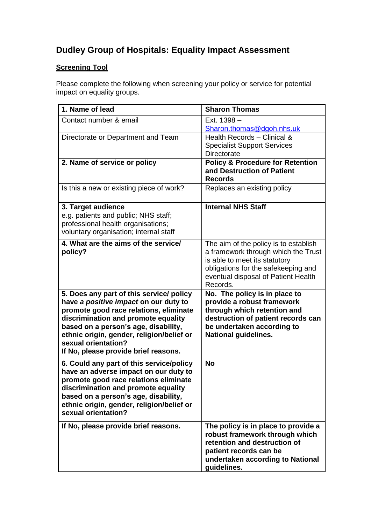## **Dudley Group of Hospitals: Equality Impact Assessment**

## **Screening Tool**

Please complete the following when screening your policy or service for potential impact on equality groups.

| 1. Name of lead                                                                                                                                                                                                                                                                                                        | <b>Sharon Thomas</b>                                                                                                                                                                                    |
|------------------------------------------------------------------------------------------------------------------------------------------------------------------------------------------------------------------------------------------------------------------------------------------------------------------------|---------------------------------------------------------------------------------------------------------------------------------------------------------------------------------------------------------|
| Contact number & email                                                                                                                                                                                                                                                                                                 | Ext. 1398 -<br>Sharon.thomas@dgoh.nhs.uk                                                                                                                                                                |
| Directorate or Department and Team                                                                                                                                                                                                                                                                                     | Health Records - Clinical &<br><b>Specialist Support Services</b><br>Directorate                                                                                                                        |
| 2. Name of service or policy                                                                                                                                                                                                                                                                                           | <b>Policy &amp; Procedure for Retention</b><br>and Destruction of Patient<br><b>Records</b>                                                                                                             |
| Is this a new or existing piece of work?                                                                                                                                                                                                                                                                               | Replaces an existing policy                                                                                                                                                                             |
| 3. Target audience<br>e.g. patients and public; NHS staff;<br>professional health organisations;<br>voluntary organisation; internal staff                                                                                                                                                                             | <b>Internal NHS Staff</b>                                                                                                                                                                               |
| 4. What are the aims of the service/<br>policy?                                                                                                                                                                                                                                                                        | The aim of the policy is to establish<br>a framework through which the Trust<br>is able to meet its statutory<br>obligations for the safekeeping and<br>eventual disposal of Patient Health<br>Records. |
| 5. Does any part of this service/ policy<br>have a positive impact on our duty to<br>promote good race relations, eliminate<br>discrimination and promote equality<br>based on a person's age, disability,<br>ethnic origin, gender, religion/belief or<br>sexual orientation?<br>If No, please provide brief reasons. | No. The policy is in place to<br>provide a robust framework<br>through which retention and<br>destruction of patient records can<br>be undertaken according to<br><b>National guidelines.</b>           |
| 6. Could any part of this service/policy<br>have an adverse impact on our duty to<br>promote good race relations eliminate<br>discrimination and promote equality<br>based on a person's age, disability,<br>ethnic origin, gender, religion/belief or<br>sexual orientation?                                          | <b>No</b>                                                                                                                                                                                               |
| If No, please provide brief reasons.                                                                                                                                                                                                                                                                                   | The policy is in place to provide a<br>robust framework through which<br>retention and destruction of<br>patient records can be<br>undertaken according to National<br>guidelines.                      |